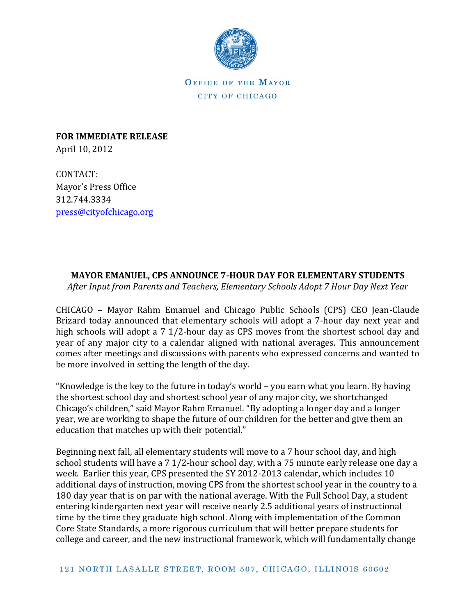

OFFICE OF THE MAYOR CITY OF CHICAGO

**FOR IMMEDIATE RELEASE** April 10, 2012

CONTACT: Mayor's Press Office 312.744.3334 [press@cityofchicago.org](mailto:press@cityofchicago.org)

## **MAYOR EMANUEL, CPS ANNOUNCE 7-HOUR DAY FOR ELEMENTARY STUDENTS**

*After Input from Parents and Teachers, Elementary Schools Adopt 7 Hour Day Next Year* 

CHICAGO – Mayor Rahm Emanuel and Chicago Public Schools (CPS) CEO Jean-Claude Brizard today announced that elementary schools will adopt a 7-hour day next year and high schools will adopt a 7 1/2-hour day as CPS moves from the shortest school day and year of any major city to a calendar aligned with national averages. This announcement comes after meetings and discussions with parents who expressed concerns and wanted to be more involved in setting the length of the day.

"Knowledge is the key to the future in today's world – you earn what you learn. By having the shortest school day and shortest school year of any major city, we shortchanged Chicago's children," said Mayor Rahm Emanuel. "By adopting a longer day and a longer year, we are working to shape the future of our children for the better and give them an education that matches up with their potential."

Beginning next fall, all elementary students will move to a 7 hour school day, and high school students will have a 7 1/2-hour school day, with a 75 minute early release one day a week. Earlier this year, CPS presented the SY 2012-2013 calendar, which includes 10 additional days of instruction, moving CPS from the shortest school year in the country to a 180 day year that is on par with the national average. With the Full School Day, a student entering kindergarten next year will receive nearly 2.5 additional years of instructional time by the time they graduate high school. Along with implementation of the Common Core State Standards, a more rigorous curriculum that will better prepare students for college and career, and the new instructional framework, which will fundamentally change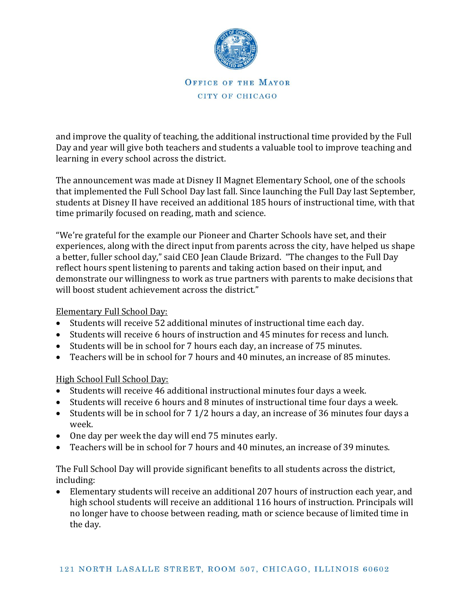

## OFFICE OF THE MAYOR CITY OF CHICAGO

and improve the quality of teaching, the additional instructional time provided by the Full Day and year will give both teachers and students a valuable tool to improve teaching and learning in every school across the district.

The announcement was made at Disney II Magnet Elementary School, one of the schools that implemented the Full School Day last fall. Since launching the Full Day last September, students at Disney II have received an additional 185 hours of instructional time, with that time primarily focused on reading, math and science.

"We're grateful for the example our Pioneer and Charter Schools have set, and their experiences, along with the direct input from parents across the city, have helped us shape a better, fuller school day," said CEO Jean Claude Brizard. "The changes to the Full Day reflect hours spent listening to parents and taking action based on their input, and demonstrate our willingness to work as true partners with parents to make decisions that will boost student achievement across the district."

## Elementary Full School Day:

- Students will receive 52 additional minutes of instructional time each day.
- Students will receive 6 hours of instruction and 45 minutes for recess and lunch.
- Students will be in school for 7 hours each day, an increase of 75 minutes.
- Teachers will be in school for 7 hours and 40 minutes, an increase of 85 minutes.

## High School Full School Day:

- Students will receive 46 additional instructional minutes four days a week.
- Students will receive 6 hours and 8 minutes of instructional time four days a week.
- Students will be in school for 7 1/2 hours a day, an increase of 36 minutes four days a week.
- One day per week the day will end 75 minutes early.
- Teachers will be in school for 7 hours and 40 minutes, an increase of 39 minutes.

The Full School Day will provide significant benefits to all students across the district, including:

 Elementary students will receive an additional 207 hours of instruction each year, and high school students will receive an additional 116 hours of instruction. Principals will no longer have to choose between reading, math or science because of limited time in the day.